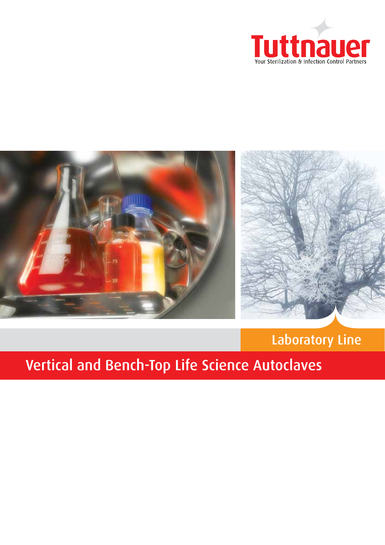



# Laboratory Line

# Vertical and Bench-Top Life Science Autoclaves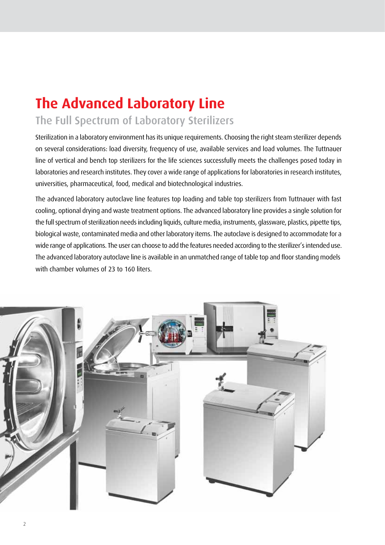# **The Advanced Laboratory Line**

# The Full Spectrum of Laboratory Sterilizers

Sterilization in a laboratory environment has its unique requirements. Choosing the right steam sterilizer depends on several considerations: load diversity, frequency of use, available services and load volumes. The Tuttnauer line of vertical and bench top sterilizers for the life sciences successfully meets the challenges posed today in laboratories and research institutes. They cover a wide range of applications for laboratories in research institutes, universities, pharmaceutical, food, medical and biotechnological industries.

The advanced laboratory autoclave line features top loading and table top sterilizers from Tuttnauer with fast cooling, optional drying and waste treatment options. The advanced laboratory line provides a single solution for the full spectrum of sterilization needs including liquids, culture media, instruments, glassware, plastics, pipette tips, biological waste, contaminated media and other laboratory items. The autoclave is designed to accommodate for a wide range of applications. The user can choose to add the features needed according to the sterilizer's intended use. The advanced laboratory autoclave line is available in an unmatched range of table top and floor standing models with chamber volumes of 23 to 160 liters.

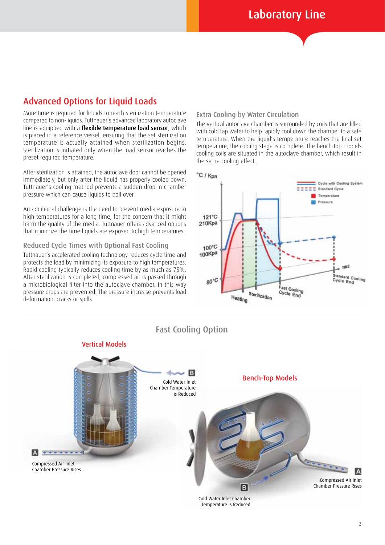### Advanced Options for Liquid Loads

More time is required for liquids to reach sterilization temperature compared to non-liquids. Tuttnauer's advanced laboratory autoclave line is equipped with a flexible temperature load sensor, which is placed in a reference vessel, ensuring that the set sterilization temperature is actually attained when sterilization begins. Sterilization is initiated only when the load sensor reaches the preset required temperature.

After sterilization is attained, the autoclave door cannot be opened immediately, but only after the liquid has properly cooled down. Tuttnauer's cooling method prevents a sudden drop in chamber pressure which can cause liquids to boil over.

An additional challenge is the need to prevent media exposure to high temperatures for a long time, for the concern that it might harm the quality of the media. Tuttnauer offers advanced options that minimize the time liquids are exposed to high temperatures.

#### Reduced Cycle Times with Optional Fast Cooling

Tuttnauer's accelerated cooling technology reduces cycle time and protects the load by minimizing its exposure to high temperatures. Rapid cooling typically reduces cooling time by as much as 75%. After sterilization is completed, compressed air is passed through a microbiological filter into the autoclave chamber. In this way pressure drops are prevented. The pressure increase prevents load deformation, cracks or spills.

#### Extra Cooling by Water Circulation

The vertical autoclave chamber is surrounded by coils that are filled with cold tap water to help rapidly cool down the chamber to a safe temperature. When the liquid's temperature reaches the final set temperature, the cooling stage is complete. The bench-top models cooling coils are situated in the autoclave chamber, which result in the same cooling effect.





Fast Cooling Option

Cold Water Inlet Chamber Temperature is Reduced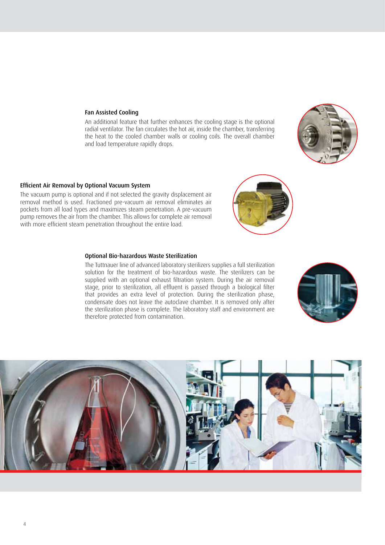#### Fan Assisted Cooling

An additional feature that further enhances the cooling stage is the optional radial ventilator. The fan circulates the hot air, inside the chamber, transferring the heat to the cooled chamber walls or cooling coils. The overall chamber and load temperature rapidly drops.

#### Efficient Air Removal by Optional Vacuum System

The vacuum pump is optional and if not selected the gravity displacement air removal method is used. Fractioned pre-vacuum air removal eliminates air pockets from all load types and maximizes steam penetration. A pre-vacuum pump removes the air from the chamber. This allows for complete air removal with more efficient steam penetration throughout the entire load.

#### Optional Bio-hazardous Waste Sterilization

The Tuttnauer line of advanced laboratory sterilizers supplies a full sterilization solution for the treatment of bio-hazardous waste. The sterilizers can be supplied with an optional exhaust filtration system. During the air removal stage, prior to sterilization, all effluent is passed through a biological filter that provides an extra level of protection. During the sterilization phase, condensate does not leave the autoclave chamber. It is removed only after the sterilization phase is complete. The laboratory staff and environment are therefore protected from contamination.





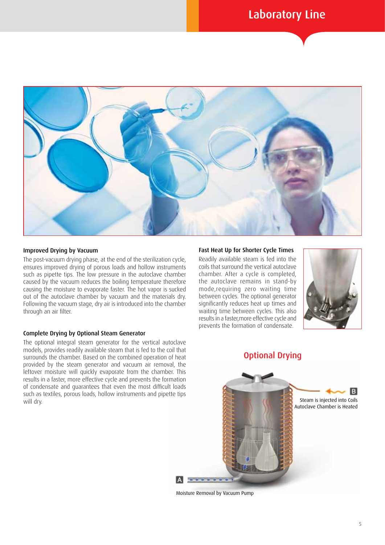

#### Improved Drying by Vacuum

The post-vacuum drying phase, at the end of the sterilization cycle, ensures improved drying of porous loads and hollow instruments such as pipette tips. The low pressure in the autoclave chamber caused by the vacuum reduces the boiling temperature therefore causing the moisture to evaporate faster. The hot vapor is sucked out of the autoclave chamber by vacuum and the materials dry. Following the vacuum stage, dry air is introduced into the chamber through an air filter.

#### Complete Drying by Optional Steam Generator

The optional integral steam generator for the vertical autoclave models, provides readily available steam that is fed to the coil that surrounds the chamber. Based on the combined operation of heat provided by the steam generator and vacuum air removal, the leftover moisture will quickly evaporate from the chamber. This results in a faster, more effective cycle and prevents the formation of condensate and guarantees that even the most difficult loads such as textiles, porous loads, hollow instruments and pipette tips will dry.

#### Fast Heat Up for Shorter Cycle Times

Readily available steam is fed into the coils that surround the vertical autoclave chamber. After a cycle is completed, the autoclave remains in stand-by mode,requiring zero waiting time between cycles. The optional generator significantly reduces heat up times and waiting time between cycles. This also results in a faster,more effective cycle and prevents the formation of condensate.





Moisture Removal by Vacuum Pump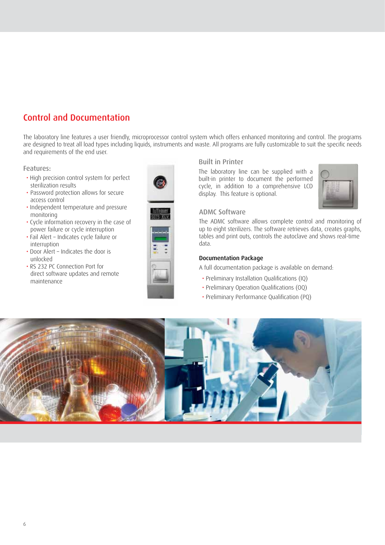# Control and Documentation

The laboratory line features a user friendly, microprocessor control system which offers enhanced monitoring and control. The programs are designed to treat all load types including liquids, instruments and waste. All programs are fully customizable to suit the specific needs and requirements of the end user.

#### Features:

- High precision control system for perfect sterilization results
- Password protection allows for secure access control
- Independent temperature and pressure monitoring
- Cycle information recovery in the case of power failure or cycle interruption
- Fail Alert Indicates cycle failure or interruption
- Door Alert Indicates the door is unlocked
- RS 232 PC Connection Port for direct software updates and remote maintenance



#### Built in Printer

The laboratory line can be supplied with a built-in printer to document the performed cycle, in addition to a comprehensive LCD display. This feature is optional.



#### ADMC Software

The ADMC software allows complete control and monitoring of up to eight sterilizers. The software retrieves data, creates graphs, tables and print outs, controls the autoclave and shows real-time data.

#### Documentation Package

A full documentation package is available on demand:

- Preliminary Installation Qualifications (IQ)
- Preliminary Operation Qualifications (OQ)
- Preliminary Performance Qualification (PQ)

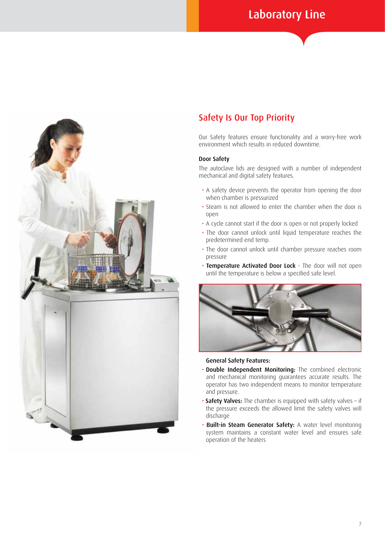

## Safety Is Our Top Priority

Our Safety features ensure functionality and a worry-free work environment which results in reduced downtime.

#### Door Safety

The autoclave lids are designed with a number of independent mechanical and digital safety features.

- A safety device prevents the operator from opening the door when chamber is pressurized
- Steam is not allowed to enter the chamber when the door is open
- A cycle cannot start if the door is open or not properly locked
- The door cannot unlock until liquid temperature reaches the predetermined end temp.
- The door cannot unlock until chamber pressure reaches room pressure
- Temperature Activated Door Lock The door will not open until the temperature is below a specified safe level.



#### General Safety Features:

- Double Independent Monitoring: The combined electronic and mechanical monitoring guarantees accurate results. The operator has two independent means to monitor temperature and pressure.
- Safety Valves: The chamber is equipped with safety valves if the pressure exceeds the allowed limit the safety valves will discharge
- Built-in Steam Generator Safety: A water level monitoring system maintains a constant water level and ensures safe operation of the heaters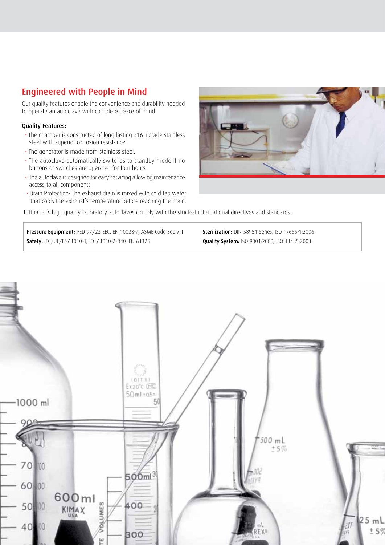## Engineered with People in Mind

Our quality features enable the convenience and durability needed to operate an autoclave with complete peace of mind.

#### Quality Features:

- The chamber is constructed of long lasting 316Ti grade stainless steel with superior corrosion resistance.
- The generator is made from stainless steel.
- The autoclave automatically switches to standby mode if no buttons or switches are operated for four hours
- The autoclave is designed for easy servicing allowing maintenance access to all components
- Drain Protection: The exhaust drain is mixed with cold tap water that cools the exhaust's temperature before reaching the drain.

Tuttnauer's high quality laboratory autoclaves comply with the strictest international directives and standards.

Pressure Equipment: PED 97/23 EEC, EN 10028-7, ASME Code Sec VIII Safety: IEC/UL/EN61010-1, IEC 61010-2-040, EN 61326

Sterilization: DIN 58951 Series, ISO 17665-1:2006 Quality System: ISO 9001:2000, ISO 13485:2003



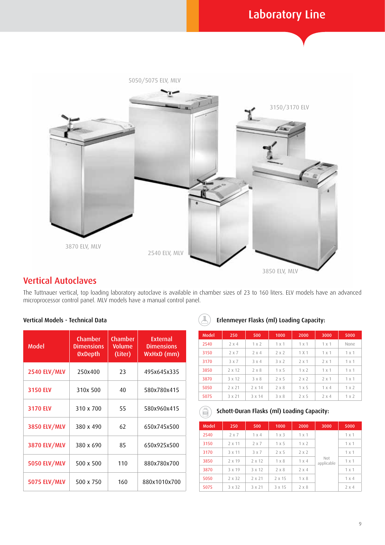

# Vertical Autoclaves

The Tuttnauer vertical, top loading laboratory autoclave is available in chamber sizes of 23 to 160 liters. ELV models have an advanced microprocessor control panel. MLV models have a manual control panel.

#### Vertical Models - Technical Data

| Model               | Chamber<br><b>Dimensions</b><br>ØxDepth | <b>Chamber</b><br><b>Volume</b><br>(Liter) | <b>External</b><br><b>Dimensions</b><br>WxHxD (mm) |  |
|---------------------|-----------------------------------------|--------------------------------------------|----------------------------------------------------|--|
| <b>2540 ELV/MLV</b> | 250x400                                 | 23                                         | 495x645x335                                        |  |
| 3150 ELV            | 310x 500                                | 40                                         | 580x780x415                                        |  |
| 3170 ELV            | 310 x 700                               | 55                                         | 580x960x415                                        |  |
| <b>3850 ELV/MLV</b> | 380 x 490                               | 62                                         | 650x745x500                                        |  |
| <b>3870 ELV/MLV</b> | 380 x 690                               | 85                                         | 650x925x500                                        |  |
| <b>5050 ELV/MLV</b> | 500 x 500                               | 110                                        | 880x780x700                                        |  |
| <b>5075 ELV/MLV</b> | 500 x 750                               | 160                                        | 880x1010x700                                       |  |

#### Erlenmeyer Flasks (ml) Loading Capacity:

| <b>Model</b> | 250          | 500          | 1000         | 2000         | 3000         | 5000  |
|--------------|--------------|--------------|--------------|--------------|--------------|-------|
| 2540         | $2 \times 4$ | $1 \times 2$ | 1x1          | 1x1          | 1x1          | None  |
| 3150         | 2x7          | 2x4          | 2x2          | 1 X1         | 1x1          | 1x1   |
| 3170         | 3 x 7        | $3 \times 4$ | 3x2          | 2x1          | 2x1          | 1x1   |
| 3850         | 2 x 12       | 2 x 8        | $1 \times 5$ | 1x2          | 1x1          | 1x1   |
| 3870         | 3 x 12       | 3 x 8        | 2x5          | 2 x 2        | 2x1          | 1x1   |
| 5050         | 2 x 21       | 2 x 14       | 2 x 8        | $1 \times 5$ | $1 \times 4$ | 1 x 2 |
| 5075         | 3 x 21       | 3 x 14       | $3 \times 8$ | 2x5          | 2x4          | 1x2   |

#### Schott-Duran Flasks (ml) Loading Capacity: Ê

| <b>Model</b> | 250    | 500          | 1000         | 2000         | 3000              | 5000         |
|--------------|--------|--------------|--------------|--------------|-------------------|--------------|
| 2540         | 2x7    | $1 \times 4$ | $1 \times 3$ | 1x1          | Not<br>applicable | 1x1          |
| 3150         | 2 x 11 | 2x7          | $1 \times 5$ | 1 x 2        |                   | 1x1          |
| 3170         | 3 x 11 | 3 x 7        | 2x5          | $2 \times 2$ |                   | 1x1          |
| 3850         | 2 x 19 | 2 x 12       | $1 \times 8$ | $1 \times 4$ |                   | 1x1          |
| 3870         | 3 x 19 | 3 x 12       | 2x8          | $2 \times 4$ |                   | 1x1          |
| 5050         | 2 x 32 | 2 x 21       | 2 x 15       | $1 \times 8$ |                   | $1 \times 4$ |
| 5075         | 3 x 32 | 3 x 21       | 3 x 15       | 2x8          |                   | $2 \times 4$ |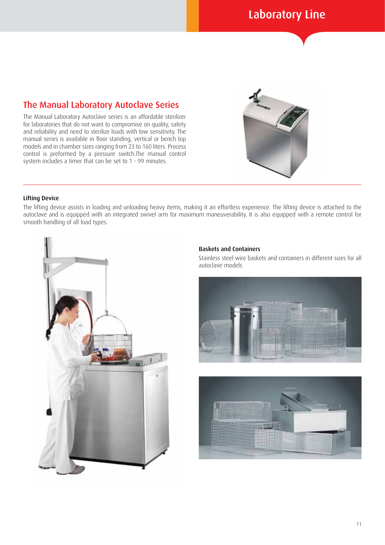## The Manual Laboratory Autoclave Series

The Manual Laboratory Autoclave series is an affordable sterilizer for laboratories that do not want to compromise on quality, safety and reliability and need to sterilize loads with low sensitivity. The manual series is available in floor standing, vertical or bench top models and in chamber sizes ranging from 23 to 160 liters. Process control is preformed by a pressure switch.The manual control system includes a timer that can be set to 1 - 99 minutes.



#### Lifting Device

The lifting device assists in loading and unloading heavy items, making it an effortless experience. The lifting device is attached to the autoclave and is equipped with an integrated swivel arm for maximum maneuverability. It is also equipped with a remote control for smooth handling of all load types.



#### Baskets and Containers

Stainless steel wire baskets and containers in different sizes for all autoclave models